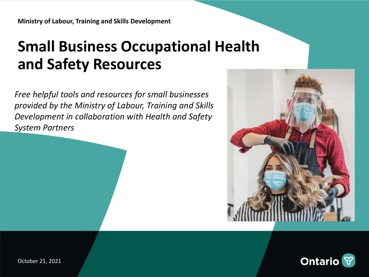## **Small Business Occupational Health and Safety Resources**

*Free helpful tools and resources for small businesses provided by the Ministry of Labour, Training and Skills Development in collaboration with Health and Safety System Partners*



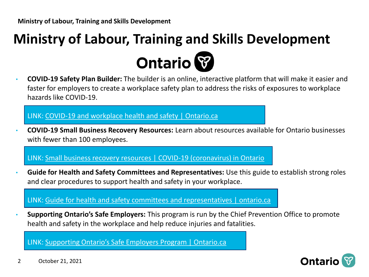# **Ministry of Labour, Training and Skills Development Ontario**

• **COVID-19 Safety Plan Builder:** The builder is an online, interactive platform that will make it easier and faster for employers to create a workplace safety plan to address the risks of exposures to workplace hazards like COVID-19.

#### LINK: [COVID-19 and workplace health and safety | Ontario.ca](https://www.ontario.ca/page/covid-19-workplace-health-safety)

• **COVID-19 Small Business Recovery Resources:** Learn about resources available for Ontario businesses with fewer than 100 employees.

LINK: [Small business recovery resources | COVID-19 \(coronavirus\) in Ontario](https://covid-19.ontario.ca/small-business-recovery-resources)

• **Guide for Health and Safety Committees and Representatives:** Use this guide to establish strong roles and clear procedures to support health and safety in your workplace.

LINK: [Guide for health and safety committees and representatives | ontario.ca](https://www.ontario.ca/page/guide-health-and-safety-committees-and-representatives)

• **Supporting Ontario's Safe Employers:** This program is run by the Chief Prevention Office to promote health and safety in the workplace and help reduce injuries and fatalities.

LINK: [Supporting Ontario's Safe Employers Program | Ontario.ca](https://www.ontario.ca/page/supporting-ontarios-safe-employers-program)

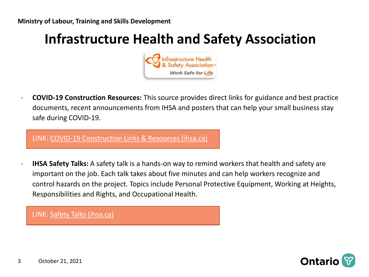#### **Infrastructure Health and Safety Association**



• **COVID-19 Construction Resources:** This source provides direct links for guidance and best practice documents, recent announcements from IHSA and posters that can help your small business stay safe during COVID-19.

LINK: [COVID-19 Construction Links & Resources \(ihsa.ca\)](https://www.ihsa.ca/covid-19/construction/links-resources)

• **IHSA Safety Talks:** A safety talk is a hands-on way to remind workers that health and safety are important on the job. Each talk takes about five minutes and can help workers recognize and control hazards on the project. Topics include Personal Protective Equipment, Working at Heights, Responsibilities and Rights, and Occupational Health.

LINK: [Safety Talks \(ihsa.ca\)](http://www.ihsa.ca/resources/safetytalks.aspx)

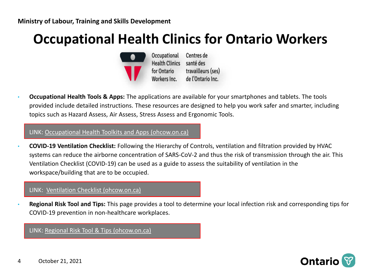### **Occupational Health Clinics for Ontario Workers**



Centres de Health Clinics santé des travailleurs (ses) de l'Ontario Inc. Workers Inc.

• **Occupational Health Tools & Apps:** The applications are available for your smartphones and tablets. The tools provided include detailed instructions. These resources are designed to help you work safer and smarter, including topics such as Hazard Assess, Air Assess, Stress Assess and Ergonomic Tools.

LINK: [Occupational Health Toolkits and Apps \(ohcow.on.ca\)](https://www.ohcow.on.ca/resources/occupational-health-apps-tools-calculators/#1634043748704-dc6b4699-6bcb)

• **COVID-19 Ventilation Checklist:** Following the Hierarchy of Controls, ventilation and filtration provided by HVAC systems can reduce the airborne concentration of SARS-CoV-2 and thus the risk of transmission through the air. This Ventilation Checklist (COVID-19) can be used as a guide to assess the suitability of ventilation in the workspace/building that are to be occupied.

#### LINK: [Ventilation Checklist \(ohcow.on.ca\)](https://www.ohcow.on.ca/covid-19/ventilation-checklist-2/)

• **Regional Risk Tool and Tips:** This page provides a tool to determine your local infection risk and corresponding tips for COVID-19 prevention in non-healthcare workplaces.

LINK: [Regional Risk Tool & Tips \(ohcow.on.ca\)](https://www.ohcow.on.ca/covid-19/regional-risk-tool-tips/)

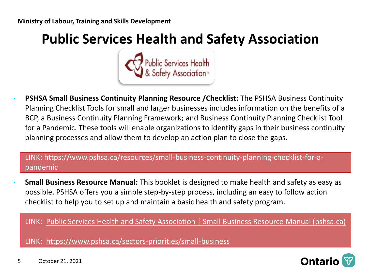### **Public Services Health and Safety Association**



• **PSHSA Small Business Continuity Planning Resource /Checklist:** The PSHSA Business Continuity Planning Checklist Tools for small and larger businesses includes information on the benefits of a BCP, a Business Continuity Planning Framework; and Business Continuity Planning Checklist Tool for a Pandemic. These tools will enable organizations to identify gaps in their business continuity planning processes and allow them to develop an action plan to close the gaps.

#### [LINK: https://www.pshsa.ca/resources/small-business-continuity-planning-checklist-for-a](https://can01.safelinks.protection.outlook.com/?url=https%3A%2F%2Fwww.pshsa.ca%2Fresources%2Fsmall-business-continuity-planning-checklist-for-a-pandemic&data=04%7C01%7CCassandra.Kovacic%40ontario.ca%7Cbf9664a214d54a491b8508d990162656%7Ccddc1229ac2a4b97b78a0e5cacb5865c%7C0%7C0%7C637699247069316274%7CUnknown%7CTWFpbGZsb3d8eyJWIjoiMC4wLjAwMDAiLCJQIjoiV2luMzIiLCJBTiI6Ik1haWwiLCJXVCI6Mn0%3D%7C1000&sdata=TMtyOwILT2T4ddhknWwI5TM2bWMlE2a25y76hZ%2BBiAA%3D&reserved=0)pandemic

• **Small Business Resource Manual:** This booklet is designed to make health and safety as easy as possible. PSHSA offers you a simple step-by-step process, including an easy to follow action checklist to help you to set up and maintain a basic health and safety program.

LINK: [Public Services Health and Safety Association | Small Business Resource Manual \(pshsa.ca\)](https://www.pshsa.ca/resources/small-business-resource-manual)

LINK: <https://www.pshsa.ca/sectors-priorities/small-business>

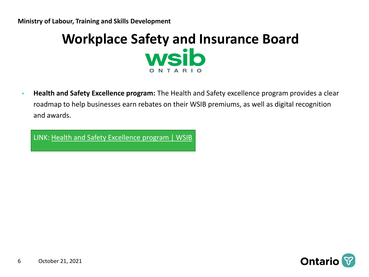#### **Workplace Safety and Insurance Board** wsib ONTA

• **Health and Safety Excellence program:** The Health and Safety excellence program provides a clear roadmap to help businesses earn rebates on their WSIB premiums, as well as digital recognition and awards.

LINK: [Health and Safety Excellence program | WSIB](https://www.wsib.ca/en/healthandsafety)

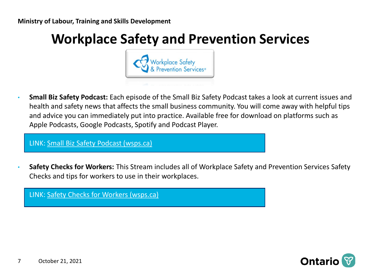### **Workplace Safety and Prevention Services**



• **Small Biz Safety Podcast:** Each episode of the Small Biz Safety Podcast takes a look at current issues and health and safety news that affects the small business community. You will come away with helpful tips and advice you can immediately put into practice. Available free for download on platforms such as Apple Podcasts, Google Podcasts, Spotify and Podcast Player.

LINK: [Small Biz Safety Podcast \(wsps.ca\)](https://www.wsps.ca/resource-hub/small-businesses/small-biz-safety-podcast)

• **Safety Checks for Workers:** This Stream includes all of Workplace Safety and Prevention Services Safety Checks and tips for workers to use in their workplaces.

LINK: [Safety Checks for Workers \(wsps.ca\)](https://www.wsps.ca/resource-hub/safety-checks)